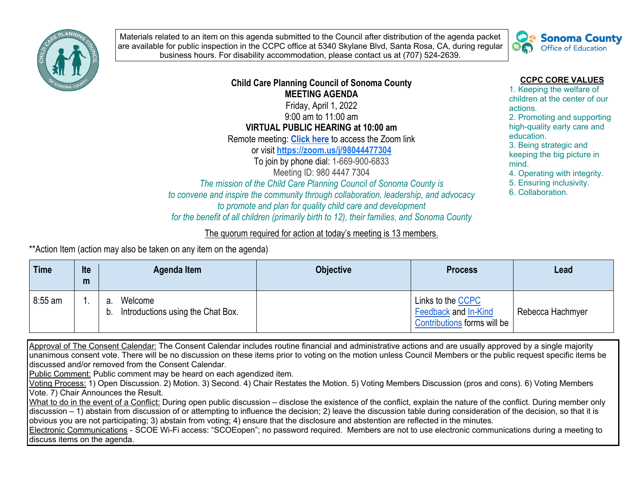

Materials related to an item on this agenda submitted to the Council after distribution of the agenda packet are available for public inspection in the CCPC office at 5340 Skylane Blvd, Santa Rosa, CA, during regular business hours. For disability accommodation, please contact us at (707) 524-2639.



## **Child Care Planning Council of Sonoma County MEETING AGENDA**  Friday, April 1, 2022

9:00 am to 11:00 am **VIRTUAL PUBLIC HEARING at 10:00 am**

Remote meeting: **Click here** to access the Zoom link

or visit **https://zoom.us/j/98044477304**

To join by phone dial: 1-669-900-6833 Meeting ID: 980 4447 7304

*The mission of the Child Care Planning Council of Sonoma County is to convene and inspire the community through collaboration, leadership, and advocacy to promote and plan for quality child care and development for the benefit of all children (primarily birth to 12), their families, and Sonoma County*

## The quorum required for action at today's meeting is 13 members.

\*\*Action Item (action may also be taken on any item on the agenda)

| Time      | Ite<br>m | Agenda Item                                              | <b>Objective</b> | <b>Process</b>                                                                  | Lead             |
|-----------|----------|----------------------------------------------------------|------------------|---------------------------------------------------------------------------------|------------------|
| $8:55$ am |          | Welcome<br>a.<br>Introductions using the Chat Box.<br>b. |                  | Links to the CCPC<br><b>Feedback and In-Kind</b><br>Contributions forms will be | Rebecca Hachmyer |

Approval of The Consent Calendar: The Consent Calendar includes routine financial and administrative actions and are usually approved by a single majority unanimous consent vote. There will be no discussion on these items prior to voting on the motion unless Council Members or the public request specific items be discussed and/or removed from the Consent Calendar.

Public Comment: Public comment may be heard on each agendized item.

Voting Process: 1) Open Discussion. 2) Motion. 3) Second. 4) Chair Restates the Motion. 5) Voting Members Discussion (pros and cons). 6) Voting Members Vote. 7) Chair Announces the Result.

What to do in the event of a Conflict: During open public discussion – disclose the existence of the conflict, explain the nature of the conflict. During member only discussion – 1) abstain from discussion of or attempting to influence the decision; 2) leave the discussion table during consideration of the decision, so that it is obvious you are not participating; 3) abstain from voting; 4) ensure that the disclosure and abstention are reflected in the minutes.

Electronic Communications - SCOE Wi-Fi access: "SCOEopen"; no password required. Members are not to use electronic communications during a meeting to discuss items on the agenda.

**CCPC CORE VALUES**

1. Keeping the welfare of children at the center of our actions.

2. Promoting and supporting high-quality early care and education.

3. Being strategic and keeping the big picture in mind.

4. Operating with integrity.

5. Ensuring inclusivity.

6. Collaboration.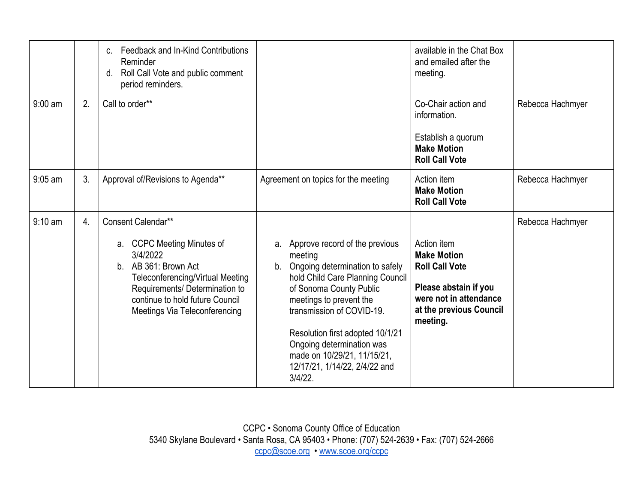|                   |                  | Feedback and In-Kind Contributions<br>$C_{\cdot}$<br>Reminder<br>Roll Call Vote and public comment<br>d.<br>period reminders.                                                                                                                 |                                                                                                                                                                                                                                                                                                                                                                  | available in the Chat Box<br>and emailed after the<br>meeting.                                                                                       |                  |
|-------------------|------------------|-----------------------------------------------------------------------------------------------------------------------------------------------------------------------------------------------------------------------------------------------|------------------------------------------------------------------------------------------------------------------------------------------------------------------------------------------------------------------------------------------------------------------------------------------------------------------------------------------------------------------|------------------------------------------------------------------------------------------------------------------------------------------------------|------------------|
| $9:00$ am         | 2.               | Call to order**                                                                                                                                                                                                                               |                                                                                                                                                                                                                                                                                                                                                                  | Co-Chair action and<br>information.<br>Establish a quorum<br><b>Make Motion</b><br><b>Roll Call Vote</b>                                             | Rebecca Hachmyer |
| $9:05$ am         | 3.               | Approval of/Revisions to Agenda**                                                                                                                                                                                                             | Agreement on topics for the meeting                                                                                                                                                                                                                                                                                                                              | Action item<br><b>Make Motion</b><br><b>Roll Call Vote</b>                                                                                           | Rebecca Hachmyer |
| $9:10 \text{ am}$ | $\overline{4}$ . | Consent Calendar**<br>a. CCPC Meeting Minutes of<br>3/4/2022<br>AB 361: Brown Act<br>b <sub>1</sub><br>Teleconferencing/Virtual Meeting<br>Requirements/ Determination to<br>continue to hold future Council<br>Meetings Via Teleconferencing | a. Approve record of the previous<br>meeting<br>Ongoing determination to safely<br>$b_{1}$<br>hold Child Care Planning Council<br>of Sonoma County Public<br>meetings to prevent the<br>transmission of COVID-19.<br>Resolution first adopted 10/1/21<br>Ongoing determination was<br>made on 10/29/21, 11/15/21,<br>12/17/21, 1/14/22, 2/4/22 and<br>$3/4/22$ . | Action item<br><b>Make Motion</b><br><b>Roll Call Vote</b><br>Please abstain if you<br>were not in attendance<br>at the previous Council<br>meeting. | Rebecca Hachmyer |

CCPC • Sonoma County Office of Education 5340 Skylane Boulevard • Santa Rosa, CA 95403 • Phone: (707) 524-2639 • Fax: (707) 524-2666 ccpc@scoe.org • www.scoe.org/ccpc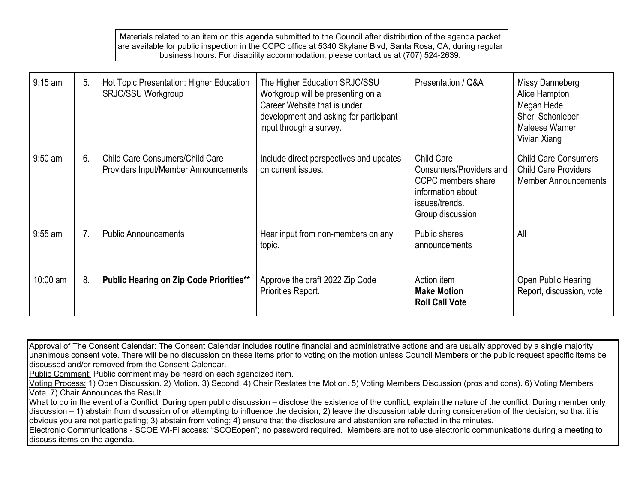Materials related to an item on this agenda submitted to the Council after distribution of the agenda packet are available for public inspection in the CCPC office at 5340 Skylane Blvd, Santa Rosa, CA, during regular business hours. For disability accommodation, please contact us at (707) 524-2639.

| $9:15$ am  | 5.             | Hot Topic Presentation: Higher Education<br><b>SRJC/SSU Workgroup</b>          | The Higher Education SRJC/SSU<br>Workgroup will be presenting on a<br>Career Website that is under<br>development and asking for participant<br>input through a survey. | Presentation / Q&A                                                                                                            | Missy Danneberg<br>Alice Hampton<br>Megan Hede<br>Sheri Schonleber<br>Maleese Warner<br>Vivian Xiang |
|------------|----------------|--------------------------------------------------------------------------------|-------------------------------------------------------------------------------------------------------------------------------------------------------------------------|-------------------------------------------------------------------------------------------------------------------------------|------------------------------------------------------------------------------------------------------|
| $9:50$ am  | 6.             | <b>Child Care Consumers/Child Care</b><br>Providers Input/Member Announcements | Include direct perspectives and updates<br>on current issues.                                                                                                           | <b>Child Care</b><br>Consumers/Providers and<br>CCPC members share<br>information about<br>issues/trends.<br>Group discussion | <b>Child Care Consumers</b><br><b>Child Care Providers</b><br><b>Member Announcements</b>            |
| $9:55$ am  | 7 <sub>1</sub> | <b>Public Announcements</b>                                                    | Hear input from non-members on any<br>topic.                                                                                                                            | Public shares<br>announcements                                                                                                | All                                                                                                  |
| $10:00$ am | 8.             | <b>Public Hearing on Zip Code Priorities**</b>                                 | Approve the draft 2022 Zip Code<br>Priorities Report.                                                                                                                   | Action item<br><b>Make Motion</b><br><b>Roll Call Vote</b>                                                                    | Open Public Hearing<br>Report, discussion, vote                                                      |

Approval of The Consent Calendar: The Consent Calendar includes routine financial and administrative actions and are usually approved by a single majority unanimous consent vote. There will be no discussion on these items prior to voting on the motion unless Council Members or the public request specific items be discussed and/or removed from the Consent Calendar.

Public Comment: Public comment may be heard on each agendized item.

Voting Process: 1) Open Discussion. 2) Motion. 3) Second. 4) Chair Restates the Motion. 5) Voting Members Discussion (pros and cons). 6) Voting Members Vote. 7) Chair Announces the Result.

What to do in the event of a Conflict: During open public discussion – disclose the existence of the conflict, explain the nature of the conflict. During member only discussion – 1) abstain from discussion of or attempting to influence the decision; 2) leave the discussion table during consideration of the decision, so that it is obvious you are not participating; 3) abstain from voting; 4) ensure that the disclosure and abstention are reflected in the minutes.

Electronic Communications - SCOE Wi-Fi access: "SCOEopen"; no password required. Members are not to use electronic communications during a meeting to discuss items on the agenda.